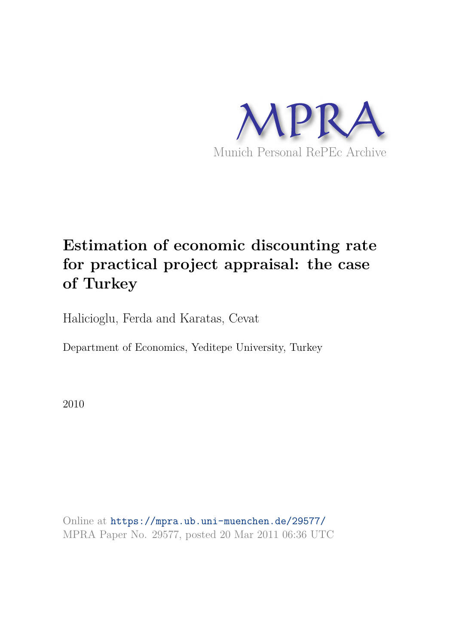

# **Estimation of economic discounting rate for practical project appraisal: the case of Turkey**

Halicioglu, Ferda and Karatas, Cevat

Department of Economics, Yeditepe University, Turkey

2010

Online at https://mpra.ub.uni-muenchen.de/29577/ MPRA Paper No. 29577, posted 20 Mar 2011 06:36 UTC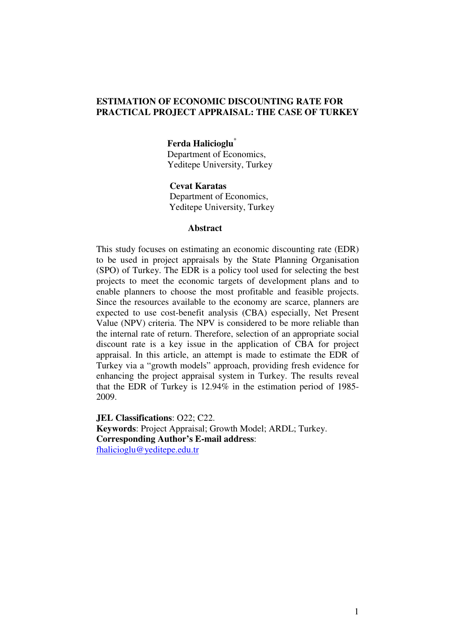# **ESTIMATION OF ECONOMIC DISCOUNTING RATE FOR PRACTICAL PROJECT APPRAISAL: THE CASE OF TURKEY**

# **Ferda Halicioglu**\*

 Department of Economics, Yeditepe University, Turkey

## **Cevat Karatas**

Department of Economics, Yeditepe University, Turkey

# **Abstract**

This study focuses on estimating an economic discounting rate (EDR) to be used in project appraisals by the State Planning Organisation (SPO) of Turkey. The EDR is a policy tool used for selecting the best projects to meet the economic targets of development plans and to enable planners to choose the most profitable and feasible projects. Since the resources available to the economy are scarce, planners are expected to use cost-benefit analysis (CBA) especially, Net Present Value (NPV) criteria. The NPV is considered to be more reliable than the internal rate of return. Therefore, selection of an appropriate social discount rate is a key issue in the application of CBA for project appraisal. In this article, an attempt is made to estimate the EDR of Turkey via a "growth models" approach, providing fresh evidence for enhancing the project appraisal system in Turkey. The results reveal that the EDR of Turkey is 12.94% in the estimation period of 1985- 2009.

**JEL Classifications**: O22; C22. **Keywords**: Project Appraisal; Growth Model; ARDL; Turkey. **Corresponding Author's E-mail address**: fhalicioglu@yeditepe.edu.tr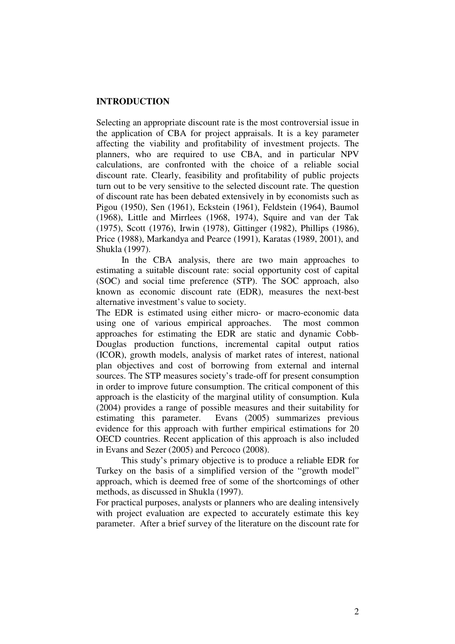# **INTRODUCTION**

Selecting an appropriate discount rate is the most controversial issue in the application of CBA for project appraisals. It is a key parameter affecting the viability and profitability of investment projects. The planners, who are required to use CBA, and in particular NPV calculations, are confronted with the choice of a reliable social discount rate. Clearly, feasibility and profitability of public projects turn out to be very sensitive to the selected discount rate. The question of discount rate has been debated extensively in by economists such as Pigou (1950), Sen (1961), Eckstein (1961), Feldstein (1964), Baumol (1968), Little and Mirrlees (1968, 1974), Squire and van der Tak (1975), Scott (1976), Irwin (1978), Gittinger (1982), Phillips (1986), Price (1988), Markandya and Pearce (1991), Karatas (1989, 2001), and Shukla (1997).

 In the CBA analysis, there are two main approaches to estimating a suitable discount rate: social opportunity cost of capital (SOC) and social time preference (STP). The SOC approach, also known as economic discount rate (EDR), measures the next-best alternative investment's value to society.

The EDR is estimated using either micro- or macro-economic data using one of various empirical approaches. The most common approaches for estimating the EDR are static and dynamic Cobb-Douglas production functions, incremental capital output ratios (ICOR), growth models, analysis of market rates of interest, national plan objectives and cost of borrowing from external and internal sources. The STP measures society's trade-off for present consumption in order to improve future consumption. The critical component of this approach is the elasticity of the marginal utility of consumption. Kula (2004) provides a range of possible measures and their suitability for estimating this parameter. Evans (2005) summarizes previous evidence for this approach with further empirical estimations for 20 OECD countries. Recent application of this approach is also included in Evans and Sezer (2005) and Percoco (2008).

 This study's primary objective is to produce a reliable EDR for Turkey on the basis of a simplified version of the "growth model" approach, which is deemed free of some of the shortcomings of other methods, as discussed in Shukla (1997).

For practical purposes, analysts or planners who are dealing intensively with project evaluation are expected to accurately estimate this key parameter. After a brief survey of the literature on the discount rate for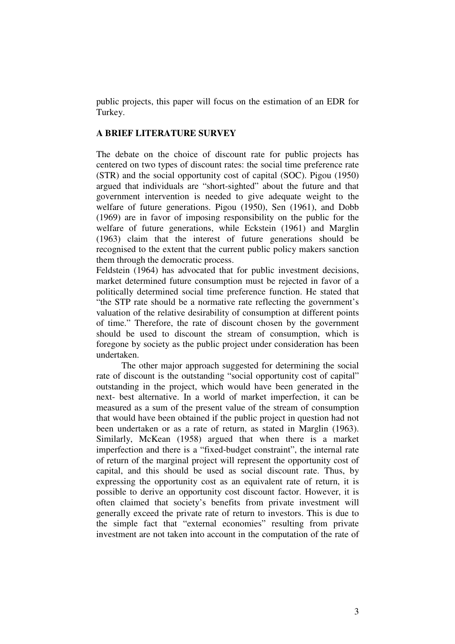public projects, this paper will focus on the estimation of an EDR for Turkey.

# **A BRIEF LITERATURE SURVEY**

The debate on the choice of discount rate for public projects has centered on two types of discount rates: the social time preference rate (STR) and the social opportunity cost of capital (SOC). Pigou (1950) argued that individuals are "short-sighted" about the future and that government intervention is needed to give adequate weight to the welfare of future generations. Pigou (1950), Sen (1961), and Dobb (1969) are in favor of imposing responsibility on the public for the welfare of future generations, while Eckstein (1961) and Marglin (1963) claim that the interest of future generations should be recognised to the extent that the current public policy makers sanction them through the democratic process.

Feldstein (1964) has advocated that for public investment decisions, market determined future consumption must be rejected in favor of a politically determined social time preference function. He stated that "the STP rate should be a normative rate reflecting the government's valuation of the relative desirability of consumption at different points of time." Therefore, the rate of discount chosen by the government should be used to discount the stream of consumption, which is foregone by society as the public project under consideration has been undertaken.

 The other major approach suggested for determining the social rate of discount is the outstanding "social opportunity cost of capital" outstanding in the project, which would have been generated in the next- best alternative. In a world of market imperfection, it can be measured as a sum of the present value of the stream of consumption that would have been obtained if the public project in question had not been undertaken or as a rate of return, as stated in Marglin (1963). Similarly, McKean (1958) argued that when there is a market imperfection and there is a "fixed-budget constraint", the internal rate of return of the marginal project will represent the opportunity cost of capital, and this should be used as social discount rate. Thus, by expressing the opportunity cost as an equivalent rate of return, it is possible to derive an opportunity cost discount factor. However, it is often claimed that society's benefits from private investment will generally exceed the private rate of return to investors. This is due to the simple fact that "external economies" resulting from private investment are not taken into account in the computation of the rate of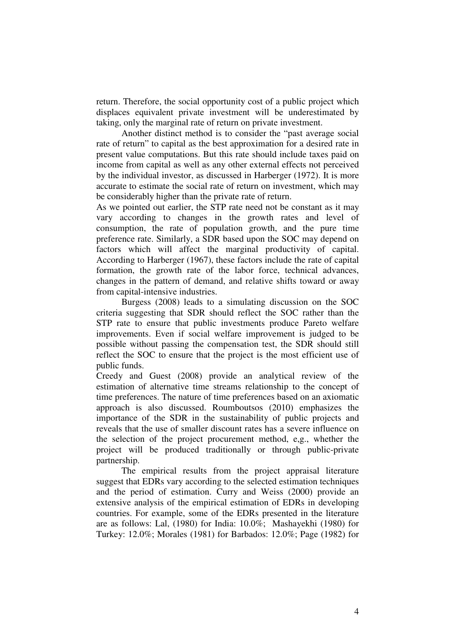return. Therefore, the social opportunity cost of a public project which displaces equivalent private investment will be underestimated by taking, only the marginal rate of return on private investment.

 Another distinct method is to consider the "past average social rate of return" to capital as the best approximation for a desired rate in present value computations. But this rate should include taxes paid on income from capital as well as any other external effects not perceived by the individual investor, as discussed in Harberger (1972). It is more accurate to estimate the social rate of return on investment, which may be considerably higher than the private rate of return.

As we pointed out earlier, the STP rate need not be constant as it may vary according to changes in the growth rates and level of consumption, the rate of population growth, and the pure time preference rate. Similarly, a SDR based upon the SOC may depend on factors which will affect the marginal productivity of capital. According to Harberger (1967), these factors include the rate of capital formation, the growth rate of the labor force, technical advances, changes in the pattern of demand, and relative shifts toward or away from capital-intensive industries.

 Burgess (2008) leads to a simulating discussion on the SOC criteria suggesting that SDR should reflect the SOC rather than the STP rate to ensure that public investments produce Pareto welfare improvements. Even if social welfare improvement is judged to be possible without passing the compensation test, the SDR should still reflect the SOC to ensure that the project is the most efficient use of public funds.

Creedy and Guest (2008) provide an analytical review of the estimation of alternative time streams relationship to the concept of time preferences. The nature of time preferences based on an axiomatic approach is also discussed. Roumboutsos (2010) emphasizes the importance of the SDR in the sustainability of public projects and reveals that the use of smaller discount rates has a severe influence on the selection of the project procurement method, e,g., whether the project will be produced traditionally or through public-private partnership.

 The empirical results from the project appraisal literature suggest that EDRs vary according to the selected estimation techniques and the period of estimation. Curry and Weiss (2000) provide an extensive analysis of the empirical estimation of EDRs in developing countries. For example, some of the EDRs presented in the literature are as follows: Lal, (1980) for India: 10.0%; Mashayekhi (1980) for Turkey: 12.0%; Morales (1981) for Barbados: 12.0%; Page (1982) for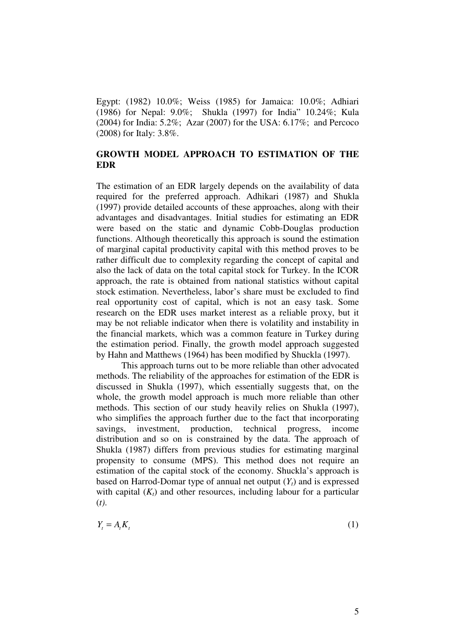Egypt: (1982) 10.0%; Weiss (1985) for Jamaica: 10.0%; Adhiari (1986) for Nepal: 9.0%; Shukla (1997) for India" 10.24%; Kula (2004) for India: 5.2%; Azar (2007) for the USA: 6.17%; and Percoco (2008) for Italy: 3.8%.

# **GROWTH MODEL APPROACH TO ESTIMATION OF THE EDR**

The estimation of an EDR largely depends on the availability of data required for the preferred approach. Adhikari (1987) and Shukla (1997) provide detailed accounts of these approaches, along with their advantages and disadvantages. Initial studies for estimating an EDR were based on the static and dynamic Cobb-Douglas production functions. Although theoretically this approach is sound the estimation of marginal capital productivity capital with this method proves to be rather difficult due to complexity regarding the concept of capital and also the lack of data on the total capital stock for Turkey. In the ICOR approach, the rate is obtained from national statistics without capital stock estimation. Nevertheless, labor's share must be excluded to find real opportunity cost of capital, which is not an easy task. Some research on the EDR uses market interest as a reliable proxy, but it may be not reliable indicator when there is volatility and instability in the financial markets, which was a common feature in Turkey during the estimation period. Finally, the growth model approach suggested by Hahn and Matthews (1964) has been modified by Shuckla (1997).

 This approach turns out to be more reliable than other advocated methods. The reliability of the approaches for estimation of the EDR is discussed in Shukla (1997), which essentially suggests that, on the whole, the growth model approach is much more reliable than other methods. This section of our study heavily relies on Shukla (1997), who simplifies the approach further due to the fact that incorporating savings, investment, production, technical progress, income distribution and so on is constrained by the data. The approach of Shukla (1987) differs from previous studies for estimating marginal propensity to consume (MPS). This method does not require an estimation of the capital stock of the economy. Shuckla's approach is based on Harrod-Domar type of annual net output  $(Y_t)$  and is expressed with capital  $(K_t)$  and other resources, including labour for a particular (*t)*.

$$
Y_t = A_t K_t \tag{1}
$$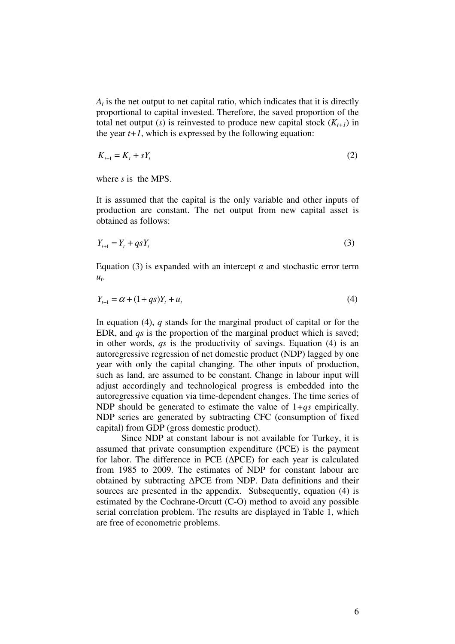$A_t$  is the net output to net capital ratio, which indicates that it is directly proportional to capital invested. Therefore, the saved proportion of the total net output (*s*) is reinvested to produce new capital stock  $(K_{t+1})$  in the year  $t+1$ , which is expressed by the following equation:

$$
K_{t+1} = K_t + sY_t \tag{2}
$$

where *s* is the MPS.

It is assumed that the capital is the only variable and other inputs of production are constant. The net output from new capital asset is obtained as follows:

$$
Y_{t+1} = Y_t + qsY_t \tag{3}
$$

Equation (3) is expanded with an intercept  $\alpha$  and stochastic error term  $u_t$ .

$$
Y_{t+1} = \alpha + (1+qs)Y_t + u_t \tag{4}
$$

In equation (4), *q* stands for the marginal product of capital or for the EDR, and *qs* is the proportion of the marginal product which is saved; in other words, *qs* is the productivity of savings. Equation (4) is an autoregressive regression of net domestic product (NDP) lagged by one year with only the capital changing. The other inputs of production, such as land, are assumed to be constant. Change in labour input will adjust accordingly and technological progress is embedded into the autoregressive equation via time-dependent changes. The time series of NDP should be generated to estimate the value of 1*+qs* empirically. NDP series are generated by subtracting CFC (consumption of fixed capital) from GDP (gross domestic product).

 Since NDP at constant labour is not available for Turkey, it is assumed that private consumption expenditure (PCE) is the payment for labor. The difference in PCE ( $\triangle$ PCE) for each year is calculated from 1985 to 2009. The estimates of NDP for constant labour are obtained by subtracting  $\triangle PCE$  from NDP. Data definitions and their sources are presented in the appendix. Subsequently, equation (4) is estimated by the Cochrane-Orcutt (C-O) method to avoid any possible serial correlation problem. The results are displayed in Table 1, which are free of econometric problems.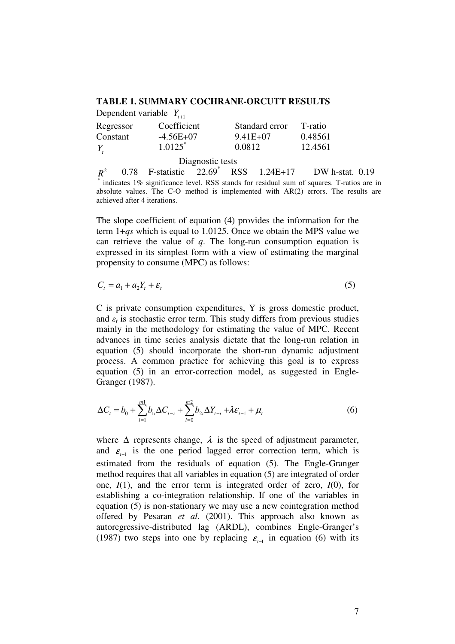#### **TABLE 1. SUMMARY COCHRANE-ORCUTT RESULTS**

Dependent variable  $Y_{t+1}$ 

| Regressor | Coefficient | Standard error | T-ratio |
|-----------|-------------|----------------|---------|
| Constant  | $-4.56E+07$ | $9.41E + 07$   | 0.48561 |
| $Y_{t}$   | 1.0125      | 0.0812         | 12.4561 |

Diagnostic tests

 $R^2$  0.78 F-statistic 22.69<sup>\*</sup> RSS 1.24E+17 DW h-stat. 0.19 indicates 1% significance level. RSS stands for residual sum of squares. T-ratios are in absolute values. The C-O method is implemented with AR(2) errors. The results are achieved after 4 iterations.

The slope coefficient of equation (4) provides the information for the term 1+*qs* which is equal to 1.0125. Once we obtain the MPS value we can retrieve the value of *q*. The long-run consumption equation is expressed in its simplest form with a view of estimating the marginal propensity to consume (MPC) as follows:

$$
C_t = a_1 + a_2 Y_t + \varepsilon_t \tag{5}
$$

C is private consumption expenditures, Y is gross domestic product, and  $\varepsilon_t$  is stochastic error term. This study differs from previous studies mainly in the methodology for estimating the value of MPC. Recent advances in time series analysis dictate that the long-run relation in equation (5) should incorporate the short-run dynamic adjustment process. A common practice for achieving this goal is to express equation (5) in an error-correction model, as suggested in Engle-Granger (1987).

$$
\Delta C_t = b_0 + \sum_{i=1}^{m} b_{1i} \Delta C_{t-i} + \sum_{i=0}^{m} b_{2i} \Delta Y_{t-i} + \lambda \varepsilon_{t-1} + \mu_t
$$
 (6)

where  $\Delta$  represents change,  $\lambda$  is the speed of adjustment parameter, and  $\varepsilon$ <sub> $t-1$ </sub> is the one period lagged error correction term, which is estimated from the residuals of equation (5). The Engle-Granger method requires that all variables in equation (5) are integrated of order one, *I*(1), and the error term is integrated order of zero, *I*(0), for establishing a co-integration relationship. If one of the variables in equation (5) is non-stationary we may use a new cointegration method offered by Pesaran *et al*. (2001). This approach also known as autoregressive-distributed lag (ARDL), combines Engle-Granger's (1987) two steps into one by replacing  $\varepsilon_{t-1}$  in equation (6) with its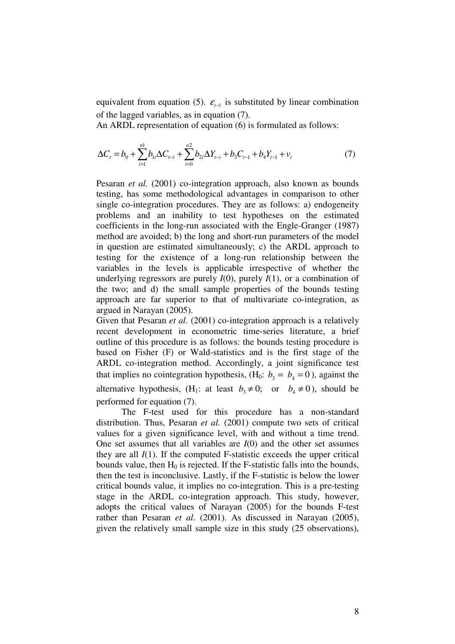equivalent from equation (5).  $\varepsilon$ <sub> $t-1$ </sub> is substituted by linear combination of the lagged variables, as in equation (7).

An ARDL representation of equation (6) is formulated as follows:

$$
\Delta C_t = b_0 + \sum_{i=1}^{n} b_{1i} \Delta C_{t-i} + \sum_{i=0}^{n} b_{2i} \Delta Y_{t-i} + b_3 C_{t-1} + b_4 Y_{t-1} + v_t
$$
(7)

Pesaran *et al.* (2001) co-integration approach, also known as bounds testing, has some methodological advantages in comparison to other single co-integration procedures. They are as follows: a) endogeneity problems and an inability to test hypotheses on the estimated coefficients in the long-run associated with the Engle-Granger (1987) method are avoided; b) the long and short-run parameters of the model in question are estimated simultaneously; c) the ARDL approach to testing for the existence of a long-run relationship between the variables in the levels is applicable irrespective of whether the underlying regressors are purely  $I(0)$ , purely  $I(1)$ , or a combination of the two; and d) the small sample properties of the bounds testing approach are far superior to that of multivariate co-integration, as argued in Narayan (2005).

Given that Pesaran *et al.* (2001) co-integration approach is a relatively recent development in econometric time-series literature, a brief outline of this procedure is as follows: the bounds testing procedure is based on Fisher (F) or Wald-statistics and is the first stage of the ARDL co-integration method. Accordingly, a joint significance test that implies no cointegration hypothesis,  $(H_0: b_3 = b_4 = 0)$ , against the alternative hypothesis,  $(H_1: \text{ at least } b_3 \neq 0; \text{ or } b_4 \neq 0)$ , should be performed for equation (7).

 The F-test used for this procedure has a non-standard distribution. Thus, Pesaran *et al.* (2001) compute two sets of critical values for a given significance level, with and without a time trend. One set assumes that all variables are *I*(0) and the other set assumes they are all *I*(1). If the computed F-statistic exceeds the upper critical bounds value, then  $H_0$  is rejected. If the F-statistic falls into the bounds, then the test is inconclusive. Lastly, if the F-statistic is below the lower critical bounds value, it implies no co-integration. This is a pre-testing stage in the ARDL co-integration approach. This study, however, adopts the critical values of Narayan (2005) for the bounds F-test rather than Pesaran *et al*. (2001). As discussed in Narayan (2005), given the relatively small sample size in this study (25 observations),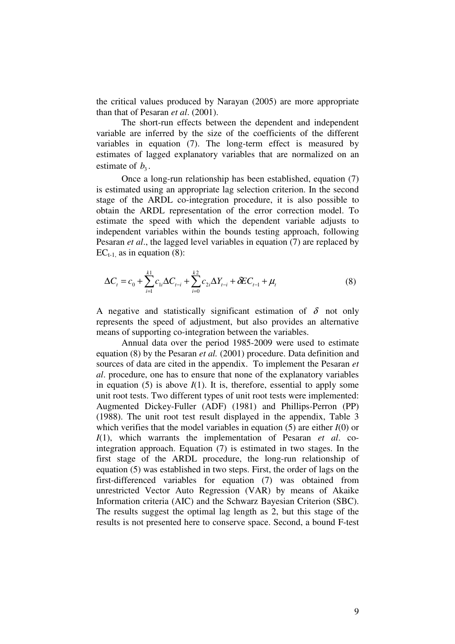the critical values produced by Narayan (2005) are more appropriate than that of Pesaran *et al*. (2001).

 The short-run effects between the dependent and independent variable are inferred by the size of the coefficients of the different variables in equation (7). The long-term effect is measured by estimates of lagged explanatory variables that are normalized on an estimate of  $b_3$ .

 Once a long-run relationship has been established, equation (7) is estimated using an appropriate lag selection criterion. In the second stage of the ARDL co-integration procedure, it is also possible to obtain the ARDL representation of the error correction model. To estimate the speed with which the dependent variable adjusts to independent variables within the bounds testing approach, following Pesaran *et al*., the lagged level variables in equation (7) are replaced by  $EC_{t-1}$  as in equation (8):

$$
\Delta C_t = c_0 + \sum_{i=1}^{k_1} c_{1i} \Delta C_{t-i} + \sum_{i=0}^{k_2} c_{2i} \Delta Y_{t-i} + \delta E C_{t-1} + \mu_t
$$
\n(8)

A negative and statistically significant estimation of  $\delta$  not only represents the speed of adjustment, but also provides an alternative means of supporting co-integration between the variables.

 Annual data over the period 1985-2009 were used to estimate equation (8) by the Pesaran *et al.* (2001) procedure. Data definition and sources of data are cited in the appendix. To implement the Pesaran *et al*. procedure, one has to ensure that none of the explanatory variables in equation  $(5)$  is above  $I(1)$ . It is, therefore, essential to apply some unit root tests. Two different types of unit root tests were implemented: Augmented Dickey-Fuller (ADF) (1981) and Phillips-Perron (PP) (1988). The unit root test result displayed in the appendix, Table 3 which verifies that the model variables in equation (5) are either *I*(0) or *I*(1), which warrants the implementation of Pesaran *et al*. cointegration approach. Equation (7) is estimated in two stages. In the first stage of the ARDL procedure, the long-run relationship of equation (5) was established in two steps. First, the order of lags on the first-differenced variables for equation (7) was obtained from unrestricted Vector Auto Regression (VAR) by means of Akaike Information criteria (AIC) and the Schwarz Bayesian Criterion (SBC). The results suggest the optimal lag length as 2, but this stage of the results is not presented here to conserve space. Second, a bound F-test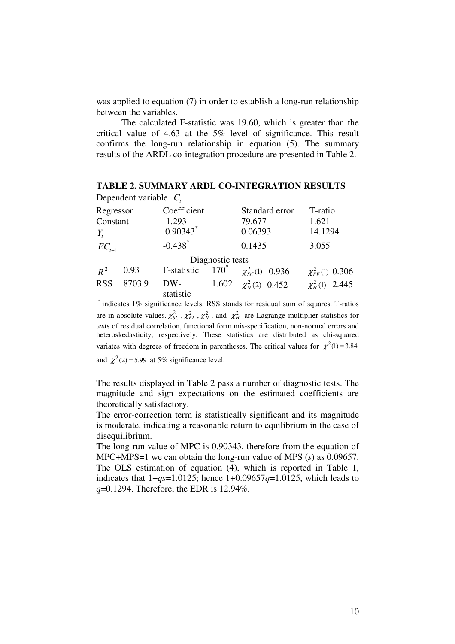was applied to equation (7) in order to establish a long-run relationship between the variables.

 The calculated F-statistic was 19.60, which is greater than the critical value of 4.63 at the 5% level of significance. This result confirms the long-run relationship in equation (5). The summary results of the ARDL co-integration procedure are presented in Table 2.

#### **TABLE 2. SUMMARY ARDL CO-INTEGRATION RESULTS**  Dependent variable *C<sup>t</sup>*

|                  | D      |                        |         |                           |                        |  |
|------------------|--------|------------------------|---------|---------------------------|------------------------|--|
| Regressor        |        | Coefficient            |         | Standard error            | T-ratio                |  |
| Constant         |        | $-1.293$               |         | 79.677                    | 1.621                  |  |
| $Y_{t}$          |        | $0.90343$ <sup>*</sup> |         | 0.06393                   | 14.1294                |  |
| $EC_{t-1}$       |        | $-0.438$ <sup>*</sup>  |         | 0.1435                    | 3.055                  |  |
| Diagnostic tests |        |                        |         |                           |                        |  |
| $\overline{R}^2$ | 0.93   | F-statistic            | $170^*$ | $\chi^2_{SC}$ (1) 0.936   | $\chi^2_{FF}(1)$ 0.306 |  |
| <b>RSS</b>       | 8703.9 | DW-<br>statistic       |         | 1.602 $\chi^2_N(2)$ 0.452 | $\chi^2_{H}(1)$ 2.445  |  |

\* indicates 1% significance levels. RSS stands for residual sum of squares. T-ratios are in absolute values.  $\chi^2_{SC}$ ,  $\chi^2_{FF}$ ,  $\chi^2_N$ , and  $\chi^2_H$  are Lagrange multiplier statistics for tests of residual correlation, functional form mis-specification, non-normal errors and heteroskedasticity, respectively. These statistics are distributed as chi-squared variates with degrees of freedom in parentheses. The critical values for  $\chi^2(1) = 3.84$ and  $\chi^2(2) = 5.99$  at 5% significance level.

The results displayed in Table 2 pass a number of diagnostic tests. The magnitude and sign expectations on the estimated coefficients are theoretically satisfactory.

The error-correction term is statistically significant and its magnitude is moderate, indicating a reasonable return to equilibrium in the case of disequilibrium.

The long-run value of MPC is 0.90343, therefore from the equation of MPC+MPS=1 we can obtain the long-run value of MPS (*s*) as 0.09657. The OLS estimation of equation (4), which is reported in Table 1, indicates that  $1+qs=1.0125$ ; hence  $1+0.09657q=1.0125$ , which leads to *q*=0.1294. Therefore, the EDR is 12.94%.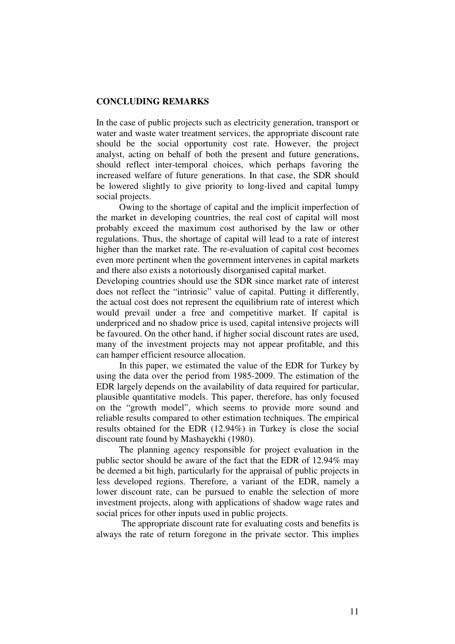## **CONCLUDING REMARKS**

In the case of public projects such as electricity generation, transport or water and waste water treatment services, the appropriate discount rate should be the social opportunity cost rate. However, the project analyst, acting on behalf of both the present and future generations, should reflect inter-temporal choices, which perhaps favoring the increased welfare of future generations. In that case, the SDR should be lowered slightly to give priority to long-lived and capital lumpy social projects.

 Owing to the shortage of capital and the implicit imperfection of the market in developing countries, the real cost of capital will most probably exceed the maximum cost authorised by the law or other regulations. Thus, the shortage of capital will lead to a rate of interest higher than the market rate. The re-evaluation of capital cost becomes even more pertinent when the government intervenes in capital markets and there also exists a notoriously disorganised capital market.

Developing countries should use the SDR since market rate of interest does not reflect the "intrinsic" value of capital. Putting it differently, the actual cost does not represent the equilibrium rate of interest which would prevail under a free and competitive market. If capital is underpriced and no shadow price is used, capital intensive projects will be favoured. On the other hand, if higher social discount rates are used, many of the investment projects may not appear profitable, and this can hamper efficient resource allocation.

 In this paper, we estimated the value of the EDR for Turkey by using the data over the period from 1985-2009. The estimation of the EDR largely depends on the availability of data required for particular, plausible quantitative models. This paper, therefore, has only focused on the "growth model", which seems to provide more sound and reliable results compared to other estimation techniques. The empirical results obtained for the EDR (12.94%) in Turkey is close the social discount rate found by Mashayekhi (1980).

 The planning agency responsible for project evaluation in the public sector should be aware of the fact that the EDR of 12.94% may be deemed a bit high, particularly for the appraisal of public projects in less developed regions. Therefore, a variant of the EDR, namely a lower discount rate, can be pursued to enable the selection of more investment projects, along with applications of shadow wage rates and social prices for other inputs used in public projects.

 The appropriate discount rate for evaluating costs and benefits is always the rate of return foregone in the private sector. This implies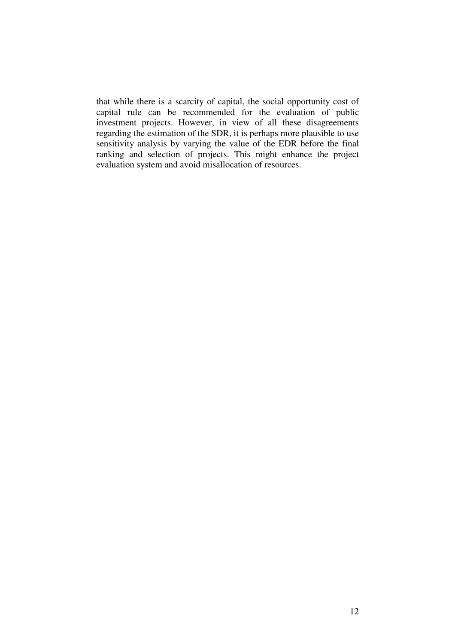that while there is a scarcity of capital, the social opportunity cost of capital rule can be recommended for the evaluation of public investment projects. However, in view of all these disagreements regarding the estimation of the SDR, it is perhaps more plausible to use sensitivity analysis by varying the value of the EDR before the final ranking and selection of projects. This might enhance the project evaluation system and avoid misallocation of resources.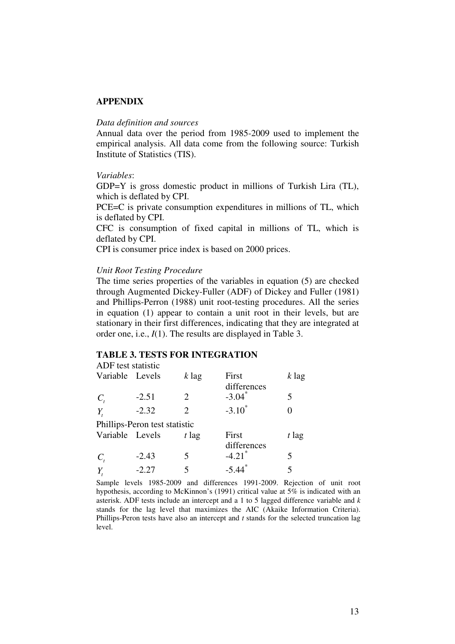## **APPENDIX**

# *Data definition and sources*

Annual data over the period from 1985-2009 used to implement the empirical analysis. All data come from the following source: Turkish Institute of Statistics (TIS).

#### *Variables*:

GDP=Y is gross domestic product in millions of Turkish Lira (TL), which is deflated by CPI.

PCE=C is private consumption expenditures in millions of TL, which is deflated by CPI.

CFC is consumption of fixed capital in millions of TL, which is deflated by CPI.

CPI is consumer price index is based on 2000 prices.

#### *Unit Root Testing Procedure*

The time series properties of the variables in equation (5) are checked through Augmented Dickey-Fuller (ADF) of Dickey and Fuller (1981) and Phillips-Perron (1988) unit root-testing procedures. All the series in equation (1) appear to contain a unit root in their levels, but are stationary in their first differences, indicating that they are integrated at order one, i.e., *I*(1). The results are displayed in Table 3.

#### **TABLE 3. TESTS FOR INTEGRATION** ADF test statistic

| ADF test statistic |                               |          |                                     |          |
|--------------------|-------------------------------|----------|-------------------------------------|----------|
| Variable Levels    |                               | $k \log$ | First                               | $k \log$ |
| $C_{t}$            | $-2.51$                       | 2        | differences<br>$-3.04$ <sup>*</sup> | 5        |
| $Y_{t}$            | $-2.32$                       | 2        | $-3.10^*$                           |          |
|                    | Phillips-Peron test statistic |          |                                     |          |
| Variable Levels    |                               | t lag    | First<br>differences                | $t$ lag  |
| $C_{t}$            | $-2.43$                       | 5        | $-4.21$                             | 5        |
| $Y_{t}$            | $-2.27$                       | 5        | $-5.44$ <sup>*</sup>                | 5        |
|                    |                               |          |                                     |          |

Sample levels 1985-2009 and differences 1991-2009. Rejection of unit root hypothesis, according to McKinnon's (1991) critical value at 5% is indicated with an asterisk. ADF tests include an intercept and a 1 to 5 lagged difference variable and *k* stands for the lag level that maximizes the AIC (Akaike Information Criteria). Phillips-Peron tests have also an intercept and *t* stands for the selected truncation lag level.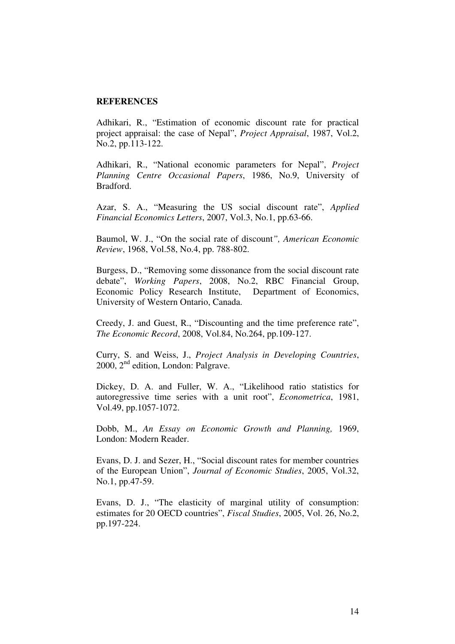#### **REFERENCES**

Adhikari, R., "Estimation of economic discount rate for practical project appraisal: the case of Nepal", *Project Appraisal*, 1987, Vol.2, No.2, pp.113-122.

Adhikari, R., "National economic parameters for Nepal", *Project Planning Centre Occasional Papers*, 1986, No.9, University of Bradford.

Azar, S. A., "Measuring the US social discount rate", *Applied Financial Economics Letters*, 2007, Vol.3, No.1, pp.63-66.

Baumol, W. J., "On the social rate of discount*", American Economic Review*, 1968, Vol.58, No.4, pp. 788-802.

Burgess, D., "Removing some dissonance from the social discount rate debate", *Working Papers*, 2008, No.2, RBC Financial Group, Economic Policy Research Institute, Department of Economics, University of Western Ontario, Canada.

Creedy, J. and Guest, R., "Discounting and the time preference rate", *The Economic Record*, 2008, Vol.84, No.264, pp.109-127.

Curry, S. and Weiss, J., *Project Analysis in Developing Countries*, 2000, 2nd edition, London: Palgrave.

Dickey, D. A. and Fuller, W. A., "Likelihood ratio statistics for autoregressive time series with a unit root", *Econometrica*, 1981, Vol.49, pp.1057-1072.

Dobb, M., *An Essay on Economic Growth and Planning,* 1969, London: Modern Reader.

Evans, D. J. and Sezer, H., "Social discount rates for member countries of the European Union", *Journal of Economic Studies*, 2005, Vol.32, No.1, pp.47-59.

Evans, D. J., "The elasticity of marginal utility of consumption: estimates for 20 OECD countries", *Fiscal Studies*, 2005, Vol. 26, No.2, pp.197-224.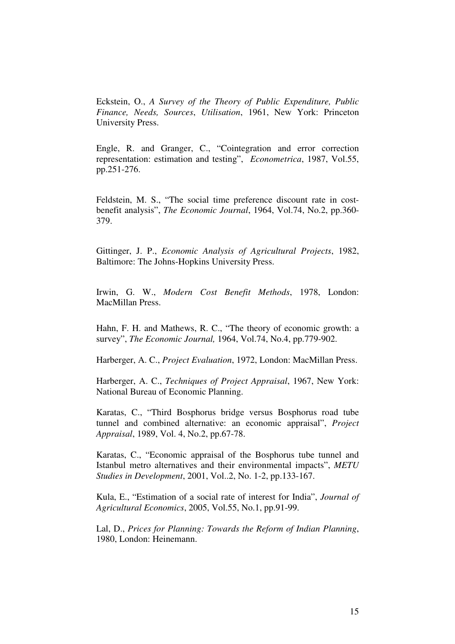Eckstein, O., *A Survey of the Theory of Public Expenditure, Public Finance, Needs, Sources*, *Utilisation*, 1961, New York: Princeton University Press.

Engle, R. and Granger, C., "Cointegration and error correction representation: estimation and testing", *Econometrica*, 1987, Vol.55, pp.251-276.

Feldstein, M. S., "The social time preference discount rate in costbenefit analysis", *The Economic Journal*, 1964, Vol.74, No.2, pp.360- 379.

Gittinger, J. P., *Economic Analysis of Agricultural Projects*, 1982, Baltimore: The Johns-Hopkins University Press.

Irwin, G. W., *Modern Cost Benefit Methods*, 1978, London: MacMillan Press.

Hahn, F. H. and Mathews, R. C., "The theory of economic growth: a survey", *The Economic Journal,* 1964, Vol.74, No.4, pp.779-902.

Harberger, A. C., *Project Evaluation*, 1972, London: MacMillan Press.

Harberger, A. C., *Techniques of Project Appraisal*, 1967, New York: National Bureau of Economic Planning.

Karatas, C., "Third Bosphorus bridge versus Bosphorus road tube tunnel and combined alternative: an economic appraisal", *Project Appraisal*, 1989, Vol. 4, No.2, pp.67-78.

Karatas, C., "Economic appraisal of the Bosphorus tube tunnel and Istanbul metro alternatives and their environmental impacts", *METU Studies in Development*, 2001, Vol..2, No. 1-2, pp.133-167.

Kula, E., "Estimation of a social rate of interest for India", *Journal of Agricultural Economics*, 2005, Vol.55, No.1, pp.91-99.

Lal, D., *Prices for Planning: Towards the Reform of Indian Planning*, 1980, London: Heinemann.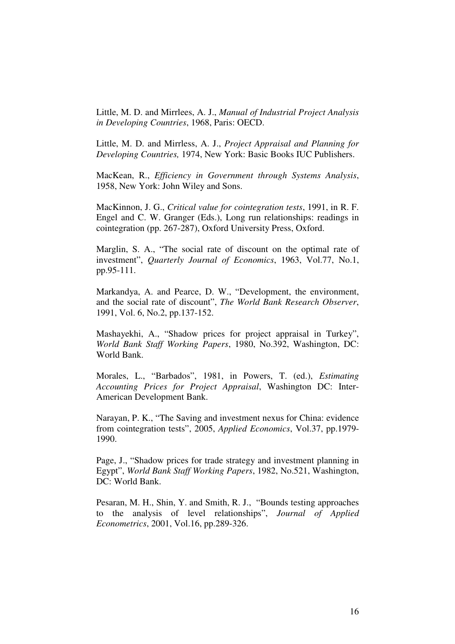Little, M. D. and Mirrlees, A. J., *Manual of Industrial Project Analysis in Developing Countries*, 1968, Paris: OECD.

Little, M. D. and Mirrless, A. J., *Project Appraisal and Planning for Developing Countries,* 1974, New York: Basic Books IUC Publishers.

MacKean, R., *Efficiency in Government through Systems Analysis*, 1958, New York: John Wiley and Sons.

MacKinnon, J. G., *Critical value for cointegration tests*, 1991, in R. F. Engel and C. W. Granger (Eds.), Long run relationships: readings in cointegration (pp. 267-287), Oxford University Press, Oxford.

Marglin, S. A., "The social rate of discount on the optimal rate of investment", *Quarterly Journal of Economics*, 1963, Vol.77, No.1, pp.95-111.

Markandya, A. and Pearce, D. W., "Development, the environment, and the social rate of discount", *The World Bank Research Observer*, 1991, Vol. 6, No.2, pp.137-152.

Mashayekhi, A., "Shadow prices for project appraisal in Turkey", *World Bank Staff Working Papers*, 1980, No.392, Washington, DC: World Bank.

Morales, L., "Barbados", 1981, in Powers, T. (ed.), *Estimating Accounting Prices for Project Appraisal*, Washington DC: Inter-American Development Bank.

Narayan, P. K., "The Saving and investment nexus for China: evidence from cointegration tests", 2005, *Applied Economics*, Vol.37, pp.1979- 1990.

Page, J., "Shadow prices for trade strategy and investment planning in Egypt", *World Bank Staff Working Papers*, 1982, No.521, Washington, DC: World Bank.

Pesaran, M. H., Shin, Y. and Smith, R. J., "Bounds testing approaches to the analysis of level relationships", *Journal of Applied Econometrics*, 2001, Vol.16, pp.289-326.